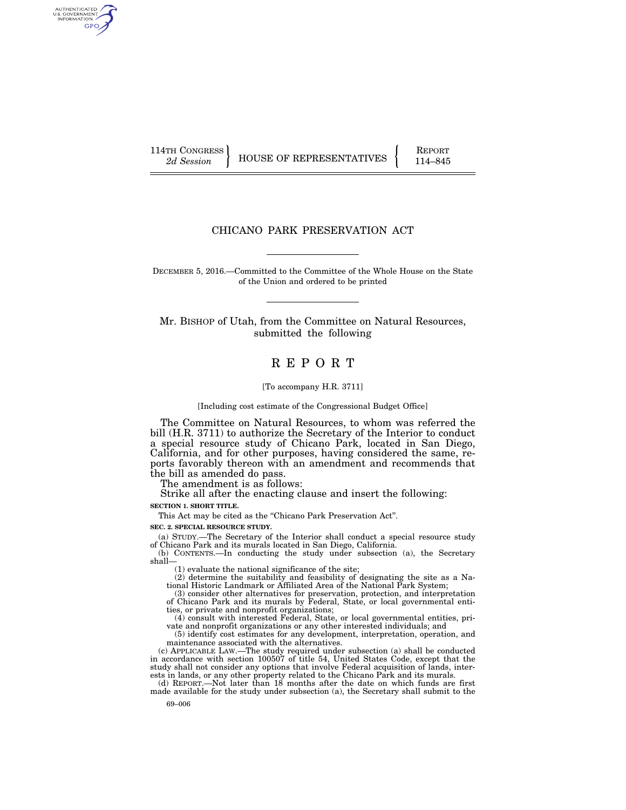AUTHENTICATED<br>U.S. GOVERNMENT<br>INFORMATION **GPO** 

114TH CONGRESS HOUSE OF REPRESENTATIVES FEPORT 114–845

# CHICANO PARK PRESERVATION ACT

DECEMBER 5, 2016.—Committed to the Committee of the Whole House on the State of the Union and ordered to be printed

Mr. BISHOP of Utah, from the Committee on Natural Resources, submitted the following

# R E P O R T

[To accompany H.R. 3711]

[Including cost estimate of the Congressional Budget Office]

The Committee on Natural Resources, to whom was referred the bill (H.R. 3711) to authorize the Secretary of the Interior to conduct a special resource study of Chicano Park, located in San Diego, California, and for other purposes, having considered the same, reports favorably thereon with an amendment and recommends that the bill as amended do pass.

The amendment is as follows:

Strike all after the enacting clause and insert the following:

**SECTION 1. SHORT TITLE.** 

This Act may be cited as the "Chicano Park Preservation Act".

**SEC. 2. SPECIAL RESOURCE STUDY.** 

(a) STUDY.—The Secretary of the Interior shall conduct a special resource study of Chicano Park and its murals located in San Diego, California.

(b) CONTENTS.—In conducting the study under subsection (a), the Secretary shall—

(1) evaluate the national significance of the site;

(2) determine the suitability and feasibility of designating the site as a National Historic Landmark or Affiliated Area of the National Park System;

(3) consider other alternatives for preservation, protection, and interpretation of Chicano Park and its murals by Federal, State, or local governmental entities, or private and nonprofit organizations;

(4) consult with interested Federal, State, or local governmental entities, private and nonprofit organizations or any other interested individuals; and

(5) identify cost estimates for any development, interpretation, operation, and maintenance associated with the alternatives.

(c) APPLICABLE LAW.—The study required under subsection (a) shall be conducted in accordance with section 100507 of title 54, United States Code, except that the study shall not consider any options that involve Federal acquisition of lands, interests in lands, or any other property related to the Chicano Park and its murals. (d) REPORT.—Not later than 18 months after the date on which funds are first

made available for the study under subsection (a), the Secretary shall submit to the

69–006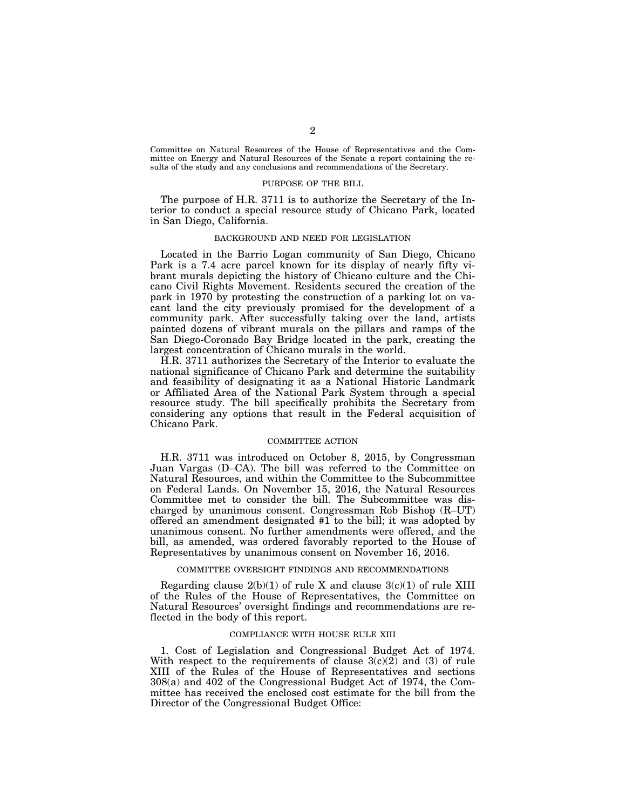Committee on Natural Resources of the House of Representatives and the Committee on Energy and Natural Resources of the Senate a report containing the results of the study and any conclusions and recommendations of the Secretary.

#### PURPOSE OF THE BILL

The purpose of H.R. 3711 is to authorize the Secretary of the Interior to conduct a special resource study of Chicano Park, located in San Diego, California.

# BACKGROUND AND NEED FOR LEGISLATION

Located in the Barrio Logan community of San Diego, Chicano Park is a 7.4 acre parcel known for its display of nearly fifty vibrant murals depicting the history of Chicano culture and the Chicano Civil Rights Movement. Residents secured the creation of the park in 1970 by protesting the construction of a parking lot on vacant land the city previously promised for the development of a community park. After successfully taking over the land, artists painted dozens of vibrant murals on the pillars and ramps of the San Diego-Coronado Bay Bridge located in the park, creating the largest concentration of Chicano murals in the world.

H.R. 3711 authorizes the Secretary of the Interior to evaluate the national significance of Chicano Park and determine the suitability and feasibility of designating it as a National Historic Landmark or Affiliated Area of the National Park System through a special resource study. The bill specifically prohibits the Secretary from considering any options that result in the Federal acquisition of Chicano Park.

# COMMITTEE ACTION

H.R. 3711 was introduced on October 8, 2015, by Congressman Juan Vargas (D–CA). The bill was referred to the Committee on Natural Resources, and within the Committee to the Subcommittee on Federal Lands. On November 15, 2016, the Natural Resources Committee met to consider the bill. The Subcommittee was discharged by unanimous consent. Congressman Rob Bishop (R–UT) offered an amendment designated #1 to the bill; it was adopted by unanimous consent. No further amendments were offered, and the bill, as amended, was ordered favorably reported to the House of Representatives by unanimous consent on November 16, 2016.

## COMMITTEE OVERSIGHT FINDINGS AND RECOMMENDATIONS

Regarding clause  $2(b)(1)$  of rule X and clause  $3(c)(1)$  of rule XIII of the Rules of the House of Representatives, the Committee on Natural Resources' oversight findings and recommendations are reflected in the body of this report.

# COMPLIANCE WITH HOUSE RULE XIII

1. Cost of Legislation and Congressional Budget Act of 1974. With respect to the requirements of clause  $3(c)(2)$  and (3) of rule XIII of the Rules of the House of Representatives and sections 308(a) and 402 of the Congressional Budget Act of 1974, the Committee has received the enclosed cost estimate for the bill from the Director of the Congressional Budget Office: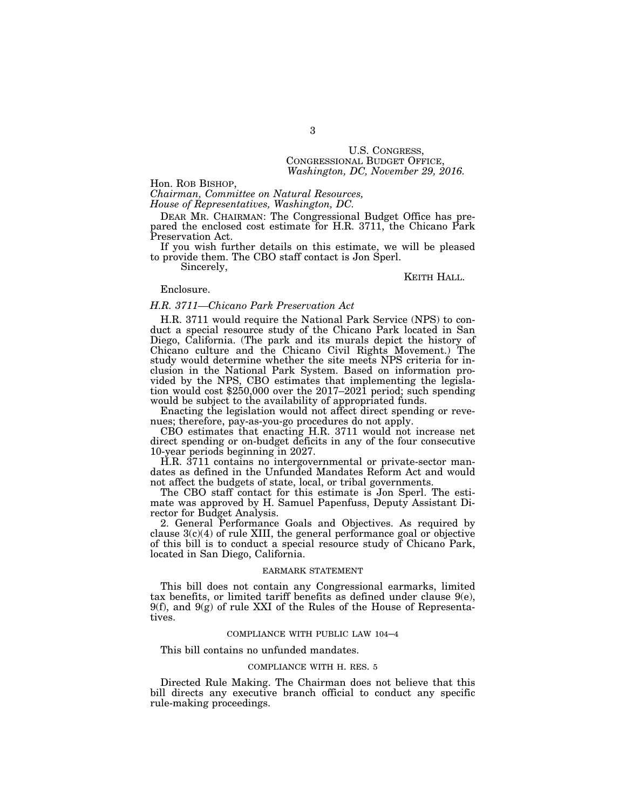# U.S. CONGRESS, CONGRESSIONAL BUDGET OFFICE, *Washington, DC, November 29, 2016.*

Hon. ROB BISHOP,

*Chairman, Committee on Natural Resources, House of Representatives, Washington, DC.* 

DEAR MR. CHAIRMAN: The Congressional Budget Office has prepared the enclosed cost estimate for H.R. 3711, the Chicano Park Preservation Act.

If you wish further details on this estimate, we will be pleased to provide them. The CBO staff contact is Jon Sperl.

Sincerely,

#### KEITH HALL.

# Enclosure.

# *H.R. 3711—Chicano Park Preservation Act*

H.R. 3711 would require the National Park Service (NPS) to conduct a special resource study of the Chicano Park located in San Diego, California. (The park and its murals depict the history of Chicano culture and the Chicano Civil Rights Movement.) The study would determine whether the site meets NPS criteria for inclusion in the National Park System. Based on information provided by the NPS, CBO estimates that implementing the legislation would cost \$250,000 over the 2017–2021 period; such spending would be subject to the availability of appropriated funds.

Enacting the legislation would not affect direct spending or revenues; therefore, pay-as-you-go procedures do not apply.

CBO estimates that enacting H.R. 3711 would not increase net direct spending or on-budget deficits in any of the four consecutive 10-year periods beginning in 2027.

H.R. 3711 contains no intergovernmental or private-sector mandates as defined in the Unfunded Mandates Reform Act and would not affect the budgets of state, local, or tribal governments.

The CBO staff contact for this estimate is Jon Sperl. The estimate was approved by H. Samuel Papenfuss, Deputy Assistant Director for Budget Analysis.

2. General Performance Goals and Objectives. As required by clause  $3(c)(4)$  of rule XIII, the general performance goal or objective of this bill is to conduct a special resource study of Chicano Park, located in San Diego, California.

## EARMARK STATEMENT

This bill does not contain any Congressional earmarks, limited tax benefits, or limited tariff benefits as defined under clause 9(e),  $9(f)$ , and  $9(g)$  of rule XXI of the Rules of the House of Representatives.

# COMPLIANCE WITH PUBLIC LAW 104–4

This bill contains no unfunded mandates.

# COMPLIANCE WITH H. RES. 5

Directed Rule Making. The Chairman does not believe that this bill directs any executive branch official to conduct any specific rule-making proceedings.